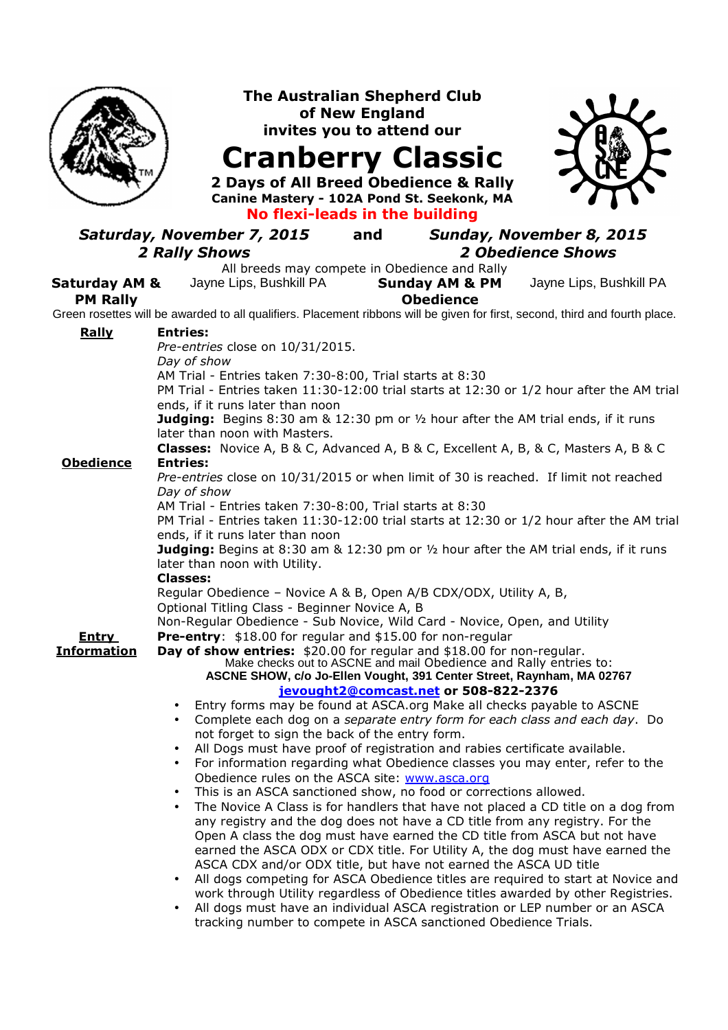